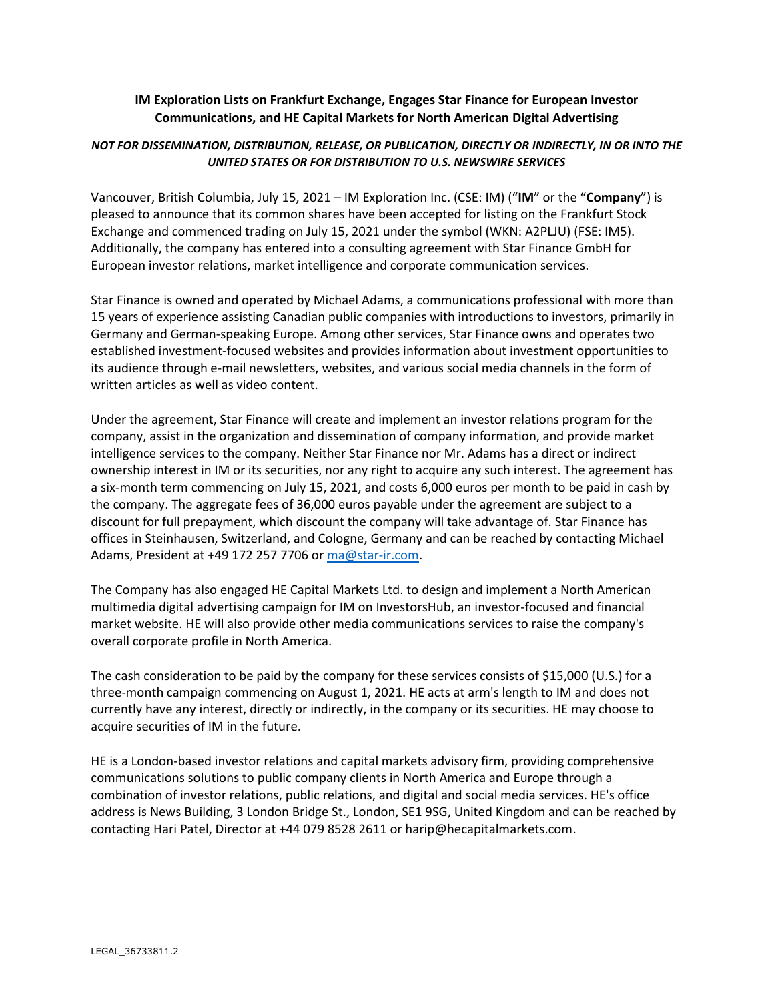## **IM Exploration Lists on Frankfurt Exchange, Engages Star Finance for European Investor Communications, and HE Capital Markets for North American Digital Advertising**

## *NOT FOR DISSEMINATION, DISTRIBUTION, RELEASE, OR PUBLICATION, DIRECTLY OR INDIRECTLY, IN OR INTO THE UNITED STATES OR FOR DISTRIBUTION TO U.S. NEWSWIRE SERVICES*

Vancouver, British Columbia, July 15, 2021 – IM Exploration Inc. (CSE: IM) ("**IM**" or the "**Company**") is pleased to announce that its common shares have been accepted for listing on the Frankfurt Stock Exchange and commenced trading on July 15, 2021 under the symbol (WKN: A2PLJU) (FSE: IM5). Additionally, the company has entered into a consulting agreement with Star Finance GmbH for European investor relations, market intelligence and corporate communication services.

Star Finance is owned and operated by Michael Adams, a communications professional with more than 15 years of experience assisting Canadian public companies with introductions to investors, primarily in Germany and German-speaking Europe. Among other services, Star Finance owns and operates two established investment-focused websites and provides information about investment opportunities to its audience through e-mail newsletters, websites, and various social media channels in the form of written articles as well as video content.

Under the agreement, Star Finance will create and implement an investor relations program for the company, assist in the organization and dissemination of company information, and provide market intelligence services to the company. Neither Star Finance nor Mr. Adams has a direct or indirect ownership interest in IM or its securities, nor any right to acquire any such interest. The agreement has a six-month term commencing on July 15, 2021, and costs 6,000 euros per month to be paid in cash by the company. The aggregate fees of 36,000 euros payable under the agreement are subject to a discount for full prepayment, which discount the company will take advantage of. Star Finance has offices in Steinhausen, Switzerland, and Cologne, Germany and can be reached by contacting Michael Adams, President at +49 172 257 7706 o[r ma@star-ir.com.](mailto:ma@star-ir.com)

The Company has also engaged HE Capital Markets Ltd. to design and implement a North American multimedia digital advertising campaign for IM on InvestorsHub, an investor-focused and financial market website. HE will also provide other media communications services to raise the company's overall corporate profile in North America.

The cash consideration to be paid by the company for these services consists of \$15,000 (U.S.) for a three-month campaign commencing on August 1, 2021. HE acts at arm's length to IM and does not currently have any interest, directly or indirectly, in the company or its securities. HE may choose to acquire securities of IM in the future.

HE is a London-based investor relations and capital markets advisory firm, providing comprehensive communications solutions to public company clients in North America and Europe through a combination of investor relations, public relations, and digital and social media services. HE's office address is News Building, 3 London Bridge St., London, SE1 9SG, United Kingdom and can be reached by contacting Hari Patel, Director at +44 079 8528 2611 or harip@hecapitalmarkets.com.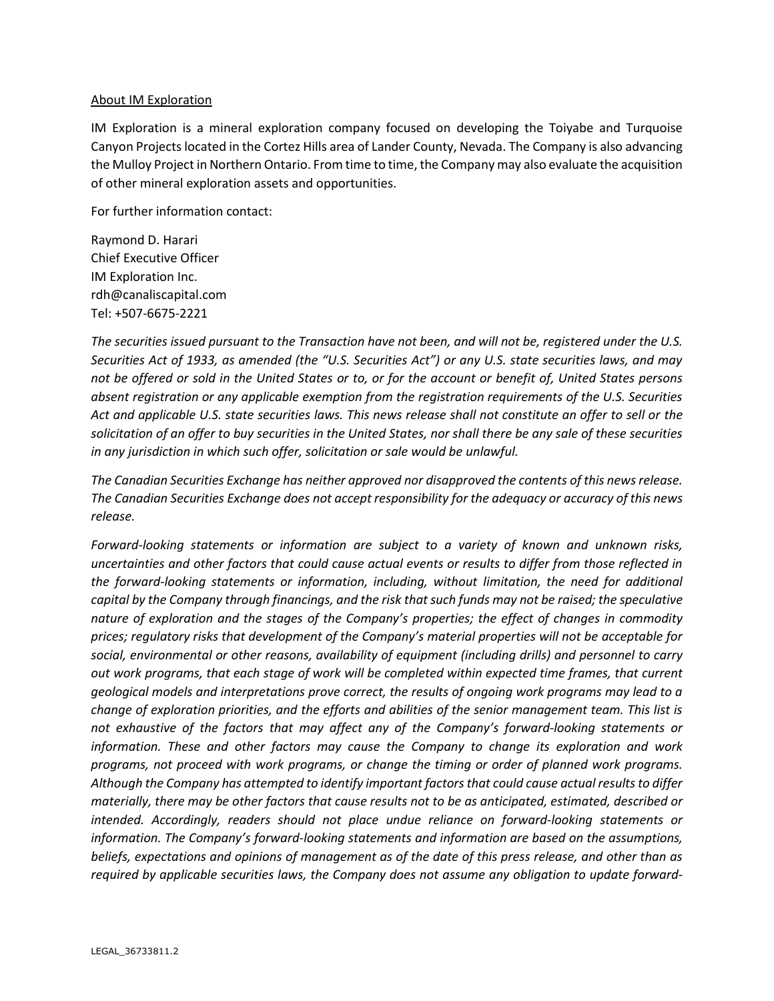## About IM Exploration

IM Exploration is a mineral exploration company focused on developing the Toiyabe and Turquoise Canyon Projects located in the Cortez Hills area of Lander County, Nevada. The Company is also advancing the Mulloy Project in Northern Ontario. From time to time, the Company may also evaluate the acquisition of other mineral exploration assets and opportunities.

For further information contact:

Raymond D. Harari Chief Executive Officer IM Exploration Inc. rdh@canaliscapital.com Tel: +507-6675-2221

*The securities issued pursuant to the Transaction have not been, and will not be, registered under the U.S. Securities Act of 1933, as amended (the "U.S. Securities Act") or any U.S. state securities laws, and may not be offered or sold in the United States or to, or for the account or benefit of, United States persons absent registration or any applicable exemption from the registration requirements of the U.S. Securities Act and applicable U.S. state securities laws. This news release shall not constitute an offer to sell or the solicitation of an offer to buy securities in the United States, nor shall there be any sale of these securities in any jurisdiction in which such offer, solicitation or sale would be unlawful.*

*The Canadian Securities Exchange has neither approved nor disapproved the contents of this news release. The Canadian Securities Exchange does not accept responsibility for the adequacy or accuracy of this news release.*

*Forward-looking statements or information are subject to a variety of known and unknown risks, uncertainties and other factors that could cause actual events or results to differ from those reflected in the forward-looking statements or information, including, without limitation, the need for additional capital by the Company through financings, and the risk that such funds may not be raised; the speculative nature of exploration and the stages of the Company's properties; the effect of changes in commodity prices; regulatory risks that development of the Company's material properties will not be acceptable for social, environmental or other reasons, availability of equipment (including drills) and personnel to carry out work programs, that each stage of work will be completed within expected time frames, that current geological models and interpretations prove correct, the results of ongoing work programs may lead to a change of exploration priorities, and the efforts and abilities of the senior management team. This list is not exhaustive of the factors that may affect any of the Company's forward-looking statements or information. These and other factors may cause the Company to change its exploration and work programs, not proceed with work programs, or change the timing or order of planned work programs. Although the Company has attempted to identify important factors that could cause actual results to differ materially, there may be other factors that cause results not to be as anticipated, estimated, described or intended. Accordingly, readers should not place undue reliance on forward-looking statements or information. The Company's forward-looking statements and information are based on the assumptions, beliefs, expectations and opinions of management as of the date of this press release, and other than as required by applicable securities laws, the Company does not assume any obligation to update forward-*